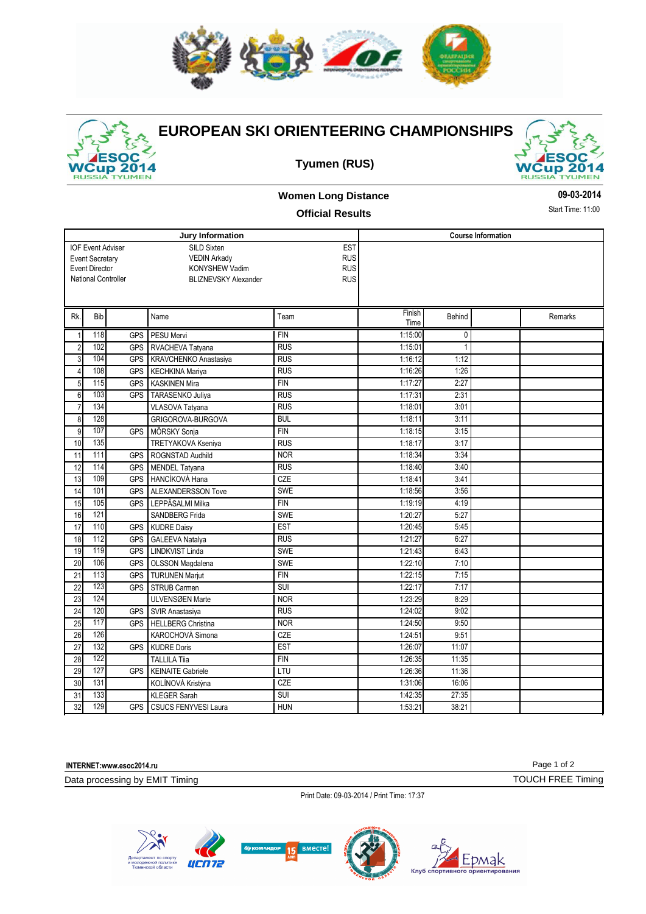



## **EUROPEAN SKI ORIENTEERING CHAMPIONSHIPS**

**Tyumen (RUS)**



## **Women Long Distance**

## **Official Results**

**09-03-2014**

Start Time: 11:00

|                                               |                       |                          | <b>Jury Information</b>     | <b>Course Information</b> |                |        |         |  |
|-----------------------------------------------|-----------------------|--------------------------|-----------------------------|---------------------------|----------------|--------|---------|--|
|                                               |                       | <b>IOF Event Adviser</b> | SILD Sixten                 |                           |                |        |         |  |
| <b>VEDIN Arkady</b><br><b>Event Secretary</b> |                       |                          |                             | <b>EST</b><br><b>RUS</b>  |                |        |         |  |
|                                               | <b>Event Director</b> |                          | <b>KONYSHEW Vadim</b>       | <b>RUS</b>                |                |        |         |  |
|                                               |                       | National Controller      | <b>BLIZNEVSKY Alexander</b> | <b>RUS</b>                |                |        |         |  |
|                                               |                       |                          |                             |                           |                |        |         |  |
|                                               |                       |                          |                             |                           |                |        |         |  |
| Rk.                                           | Bib                   |                          | Name                        | Team                      | Finish<br>Time | Behind | Remarks |  |
| 1                                             | 118                   | <b>GPS</b>               | PESU Mervi                  | <b>FIN</b>                | 1:15:00        | 0      |         |  |
| $\overline{2}$                                | 102                   | <b>GPS</b>               | RVACHEVA Tatvana            | <b>RUS</b>                | 1:15:01        | 1      |         |  |
| 3                                             | 104                   | <b>GPS</b>               | KRAVCHENKO Anastasiya       | <b>RUS</b>                | 1:16:12        | 1:12   |         |  |
| 4                                             | 108                   | <b>GPS</b>               | KECHKINA Mariya             | <b>RUS</b>                | 1:16:26        | 1:26   |         |  |
| 5                                             | 115                   | <b>GPS</b>               | <b>KASKINEN Mira</b>        | <b>FIN</b>                | 1:17:27        | 2:27   |         |  |
| 6                                             | 103                   | <b>GPS</b>               | <b>TARASENKO Juliva</b>     | <b>RUS</b>                | 1:17:31        | 2:31   |         |  |
| $\overline{7}$                                | 134                   |                          | <b>VLASOVA Tatyana</b>      | <b>RUS</b>                | 1:18:01        | 3:01   |         |  |
| 8                                             | 128                   |                          | GRIGOROVA-BURGOVA           | <b>BUL</b>                | 1:18:11        | 3:11   |         |  |
| 9                                             | 107                   | <b>GPS</b>               | MÖRSKY Sonja                | <b>FIN</b>                | 1:18:15        | 3:15   |         |  |
| 10                                            | 135                   |                          | <b>TRETYAKOVA Kseniya</b>   | <b>RUS</b>                | 1:18:17        | 3:17   |         |  |
| 11                                            | 111                   | <b>GPS</b>               | ROGNSTAD Audhild            | <b>NOR</b>                | 1:18:34        | 3:34   |         |  |
| 12                                            | 114                   | <b>GPS</b>               | MENDEL Tatyana              | <b>RUS</b>                | 1:18:40        | 3:40   |         |  |
| 13                                            | 109                   | <b>GPS</b>               | l HANCÍKOVÁ Hana            | CZE                       | 1:18:41        | 3:41   |         |  |
| 14                                            | 101                   | <b>GPS</b>               | <b>ALEXANDERSSON Tove</b>   | <b>SWE</b>                | 1:18:56        | 3:56   |         |  |
| 15                                            | 105                   | <b>GPS</b>               | LEPPÄSALMI Milka            | <b>FIN</b>                | 1:19:19        | 4:19   |         |  |
| 16                                            | 121                   |                          | <b>SANDBERG Frida</b>       | <b>SWE</b>                | 1:20:27        | 5:27   |         |  |
| 17                                            | 110                   | <b>GPS</b>               | <b>KUDRE Daisy</b>          | <b>EST</b>                | 1:20:45        | 5:45   |         |  |
| 18                                            | 112                   | <b>GPS</b>               | <b>GALEEVA Natalya</b>      | <b>RUS</b>                | 1:21:27        | 6:27   |         |  |
| 19                                            | 119                   | <b>GPS</b>               | <b>LINDKVIST Linda</b>      | <b>SWE</b>                | 1:21:43        | 6:43   |         |  |
| 20                                            | 106                   | <b>GPS</b>               | <b>OLSSON Magdalena</b>     | <b>SWE</b>                | 1:22:10        | 7:10   |         |  |
| 21                                            | 113                   | <b>GPS</b>               | <b>TURUNEN Marjut</b>       | <b>FIN</b>                | 1:22:15        | 7:15   |         |  |
| 22                                            | 123                   | <b>GPS</b>               | <b>STRUB Carmen</b>         | SUI                       | 1:22:17        | 7:17   |         |  |
| 23                                            | 124                   |                          | ULVENSØEN Marte             | <b>NOR</b>                | 1:23:29        | 8:29   |         |  |
| 24                                            | 120                   | <b>GPS</b>               | <b>SVIR Anastasiva</b>      | <b>RUS</b>                | 1:24:02        | 9:02   |         |  |
| $\overline{25}$                               | 117                   | <b>GPS</b>               | <b>HELLBERG Christina</b>   | <b>NOR</b>                | 1:24:50        | 9:50   |         |  |
| 26                                            | 126                   |                          | KAROCHOVÁ Simona            | <b>CZE</b>                | 1:24:51        | 9:51   |         |  |
| 27                                            | 132                   | <b>GPS</b>               | KUDRE Doris                 | <b>EST</b>                | 1:26:07        | 11:07  |         |  |
| 28                                            | 122                   |                          | <b>TALLILA Tija</b>         | <b>FIN</b>                | 1:26:35        | 11:35  |         |  |
| 29                                            | 127                   | <b>GPS</b>               | <b>KEINAITE Gabriele</b>    | LTU                       | 1:26:36        | 11:36  |         |  |
| 30                                            | 131                   |                          | KOLÍNOVÁ Kristýna           | CZE                       | 1:31:06        | 16:06  |         |  |
| 31                                            | 133                   |                          | <b>KLEGER Sarah</b>         | <b>SUI</b>                | 1:42:35        | 27:35  |         |  |
| 32                                            | 129                   | <b>GPS</b>               | <b>CSUCS FENYVESI Laura</b> | <b>HUN</b>                | 1:53:21        | 38:21  |         |  |

**INTERNET:www.esoc2014.ru**

Data processing by EMIT Timing

Print Date: 09-03-2014 / Print Time: 17:37



Page 1 of 2

TOUCH FREE Timing